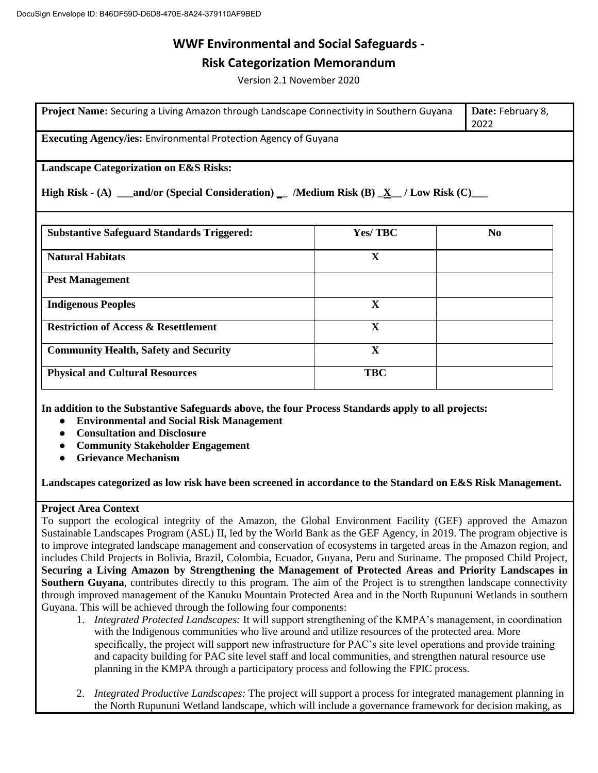## **Risk Categorization Memorandum**

Version 2.1 November 2020

| Project Name: Securing a Living Amazon through Landscape Connectivity in Southern Guyana                                                             |                | Date: February 8,<br>2022 |  |
|------------------------------------------------------------------------------------------------------------------------------------------------------|----------------|---------------------------|--|
| <b>Executing Agency/ies: Environmental Protection Agency of Guyana</b>                                                                               |                |                           |  |
| <b>Landscape Categorization on E&amp;S Risks:</b><br>High Risk - (A) __and/or (Special Consideration) __ /Medium Risk (B) $\_\ X_$ / Low Risk (C) __ |                |                           |  |
| <b>Substantive Safeguard Standards Triggered:</b>                                                                                                    | <b>Yes/TBC</b> | N <sub>0</sub>            |  |
| <b>Natural Habitats</b>                                                                                                                              | X              |                           |  |
| <b>Pest Management</b>                                                                                                                               |                |                           |  |
| <b>Indigenous Peoples</b>                                                                                                                            | X              |                           |  |
| <b>Restriction of Access &amp; Resettlement</b>                                                                                                      | X              |                           |  |
| <b>Community Health, Safety and Security</b>                                                                                                         | $\mathbf{X}$   |                           |  |
| <b>Physical and Cultural Resources</b>                                                                                                               | <b>TBC</b>     |                           |  |

**In addition to the Substantive Safeguards above, the four Process Standards apply to all projects:**

- **Environmental and Social Risk Management**
- **Consultation and Disclosure**
- **Community Stakeholder Engagement**
- **Grievance Mechanism**

**Landscapes categorized as low risk have been screened in accordance to the Standard on E&S Risk Management.**

#### **Project Area Context**

To support the ecological integrity of the Amazon, the Global Environment Facility (GEF) approved the Amazon Sustainable Landscapes Program (ASL) II, led by the World Bank as the GEF Agency, in 2019. The program objective is to improve integrated landscape management and conservation of ecosystems in targeted areas in the Amazon region, and includes Child Projects in Bolivia, Brazil, Colombia, Ecuador, Guyana, Peru and Suriname. The proposed Child Project, **Securing a Living Amazon by Strengthening the Management of Protected Areas and Priority Landscapes in Southern Guyana**, contributes directly to this program. The aim of the Project is to strengthen landscape connectivity through improved management of the Kanuku Mountain Protected Area and in the North Rupununi Wetlands in southern Guyana. This will be achieved through the following four components:

- 1. *Integrated Protected Landscapes:* It will support strengthening of the KMPA's management, in coordination with the Indigenous communities who live around and utilize resources of the protected area. More specifically, the project will support new infrastructure for PAC's site level operations and provide training and capacity building for PAC site level staff and local communities, and strengthen natural resource use planning in the KMPA through a participatory process and following the FPIC process.
- 2. *Integrated Productive Landscapes:* The project will support a process for integrated management planning in the North Rupununi Wetland landscape, which will include a governance framework for decision making, as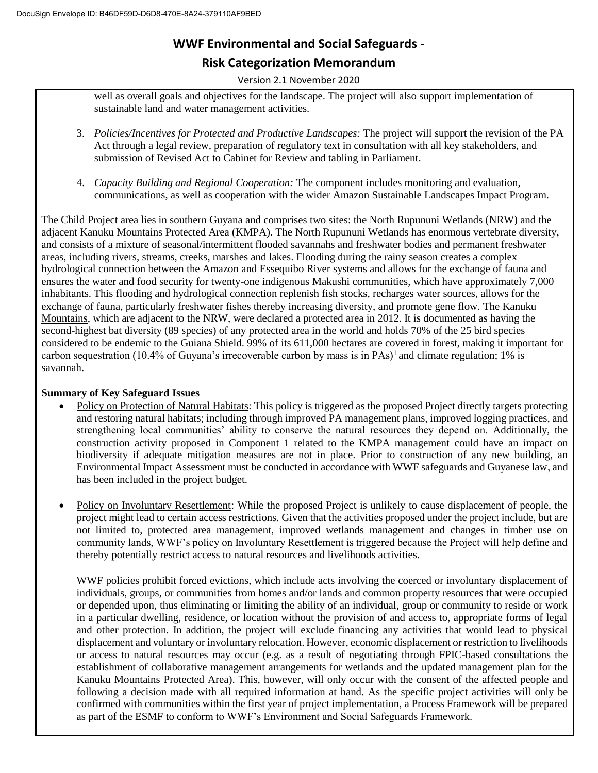# **WWF Environmental and Social Safeguards - Risk Categorization Memorandum**

Version 2.1 November 2020

well as overall goals and objectives for the landscape. The project will also support implementation of sustainable land and water management activities.

- 3. *Policies/Incentives for Protected and Productive Landscapes:* The project will support the revision of the PA Act through a legal review, preparation of regulatory text in consultation with all key stakeholders, and submission of Revised Act to Cabinet for Review and tabling in Parliament.
- 4. *Capacity Building and Regional Cooperation:* The component includes monitoring and evaluation, communications, as well as cooperation with the wider Amazon Sustainable Landscapes Impact Program.

The Child Project area lies in southern Guyana and comprises two sites: the North Rupununi Wetlands (NRW) and the adjacent Kanuku Mountains Protected Area (KMPA). The North Rupununi Wetlands has enormous vertebrate diversity, and consists of a mixture of seasonal/intermittent flooded savannahs and freshwater bodies and permanent freshwater areas, including rivers, streams, creeks, marshes and lakes. Flooding during the rainy season creates a complex hydrological connection between the Amazon and Essequibo River systems and allows for the exchange of fauna and ensures the water and food security for twenty-one indigenous Makushi communities, which have approximately 7,000 inhabitants. This flooding and hydrological connection replenish fish stocks, recharges water sources, allows for the exchange of fauna, particularly freshwater fishes thereby increasing diversity, and promote gene flow. The Kanuku Mountains, which are adjacent to the NRW, were declared a protected area in 2012. It is documented as having the second-highest bat diversity (89 species) of any protected area in the world and holds 70% of the 25 bird species considered to be endemic to the Guiana Shield. 99% of its 611,000 hectares are covered in forest, making it important for carbon sequestration (10.4% of Guyana's irrecoverable carbon by mass is in PAs)<sup>1</sup> and climate regulation; 1% is savannah.

#### **Summary of Key Safeguard Issues**

- Policy on Protection of Natural Habitats: This policy is triggered as the proposed Project directly targets protecting and restoring natural habitats; including through improved PA management plans, improved logging practices, and strengthening local communities' ability to conserve the natural resources they depend on. Additionally, the construction activity proposed in Component 1 related to the KMPA management could have an impact on biodiversity if adequate mitigation measures are not in place. Prior to construction of any new building, an Environmental Impact Assessment must be conducted in accordance with WWF safeguards and Guyanese law, and has been included in the project budget.
- Policy on Involuntary Resettlement: While the proposed Project is unlikely to cause displacement of people, the project might lead to certain access restrictions. Given that the activities proposed under the project include, but are not limited to, protected area management, improved wetlands management and changes in timber use on community lands, WWF's policy on Involuntary Resettlement is triggered because the Project will help define and thereby potentially restrict access to natural resources and livelihoods activities.

WWF policies prohibit forced evictions, which include acts involving the coerced or involuntary displacement of individuals, groups, or communities from homes and/or lands and common property resources that were occupied or depended upon, thus eliminating or limiting the ability of an individual, group or community to reside or work in a particular dwelling, residence, or location without the provision of and access to, appropriate forms of legal and other protection. In addition, the project will exclude financing any activities that would lead to physical displacement and voluntary or involuntary relocation. However, economic displacement or restriction to livelihoods or access to natural resources may occur (e.g. as a result of negotiating through FPIC-based consultations the establishment of collaborative management arrangements for wetlands and the updated management plan for the Kanuku Mountains Protected Area). This, however, will only occur with the consent of the affected people and following a decision made with all required information at hand. As the specific project activities will only be confirmed with communities within the first year of project implementation, a Process Framework will be prepared as part of the ESMF to conform to WWF's Environment and Social Safeguards Framework.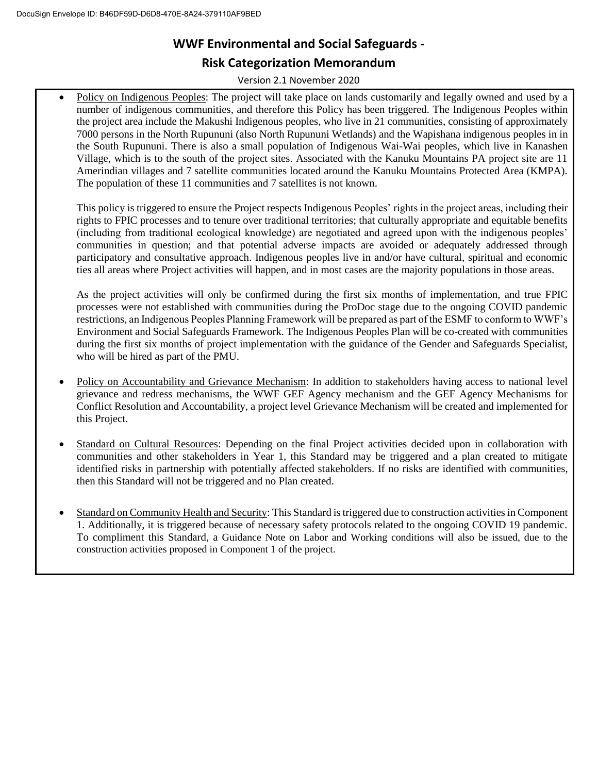## **Risk Categorization Memorandum**

Version 2.1 November 2020

• Policy on Indigenous Peoples: The project will take place on lands customarily and legally owned and used by a number of indigenous communities, and therefore this Policy has been triggered. The Indigenous Peoples within the project area include the Makushi Indigenous peoples, who live in 21 communities, consisting of approximately 7000 persons in the North Rupununi (also North Rupununi Wetlands) and the Wapishana indigenous peoples in in the South Rupununi. There is also a small population of Indigenous Wai-Wai peoples, which live in Kanashen Village, which is to the south of the project sites. Associated with the Kanuku Mountains PA project site are 11 Amerindian villages and 7 satellite communities located around the Kanuku Mountains Protected Area (KMPA). The population of these 11 communities and 7 satellites is not known.

This policy is triggered to ensure the Project respects Indigenous Peoples' rights in the project areas, including their rights to FPIC processes and to tenure over traditional territories; that culturally appropriate and equitable benefits (including from traditional ecological knowledge) are negotiated and agreed upon with the indigenous peoples' communities in question; and that potential adverse impacts are avoided or adequately addressed through participatory and consultative approach. Indigenous peoples live in and/or have cultural, spiritual and economic ties all areas where Project activities will happen, and in most cases are the majority populations in those areas.

As the project activities will only be confirmed during the first six months of implementation, and true FPIC processes were not established with communities during the ProDoc stage due to the ongoing COVID pandemic restrictions, an Indigenous Peoples Planning Framework will be prepared as part of the ESMF to conform to WWF's Environment and Social Safeguards Framework. The Indigenous Peoples Plan will be co-created with communities during the first six months of project implementation with the guidance of the Gender and Safeguards Specialist, who will be hired as part of the PMU.

- Policy on Accountability and Grievance Mechanism: In addition to stakeholders having access to national level grievance and redress mechanisms, the WWF GEF Agency mechanism and the GEF Agency Mechanisms for Conflict Resolution and Accountability, a project level Grievance Mechanism will be created and implemented for this Project.
- Standard on Cultural Resources: Depending on the final Project activities decided upon in collaboration with communities and other stakeholders in Year 1, this Standard may be triggered and a plan created to mitigate identified risks in partnership with potentially affected stakeholders. If no risks are identified with communities, then this Standard will not be triggered and no Plan created.
- Standard on Community Health and Security: This Standard is triggered due to construction activities in Component 1. Additionally, it is triggered because of necessary safety protocols related to the ongoing COVID 19 pandemic. To compliment this Standard, a Guidance Note on Labor and Working conditions will also be issued, due to the construction activities proposed in Component 1 of the project.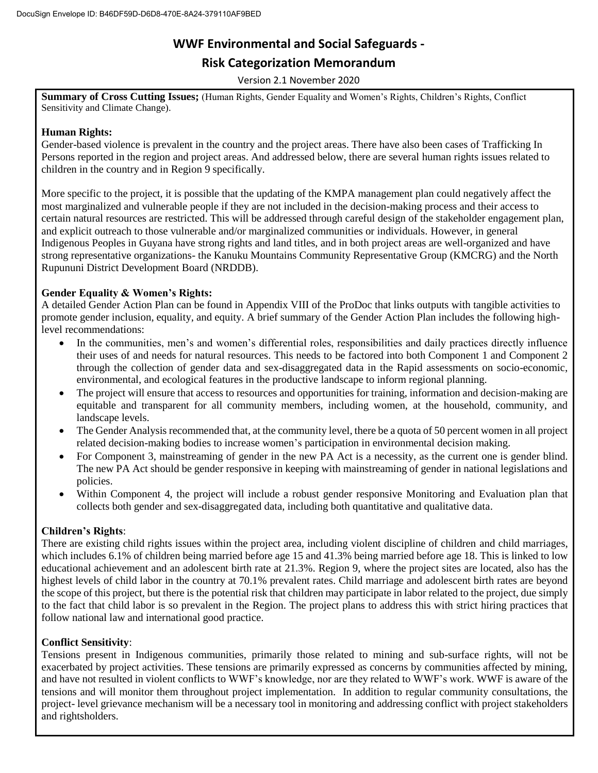## **Risk Categorization Memorandum**

Version 2.1 November 2020

**Summary of Cross Cutting Issues;** (Human Rights, Gender Equality and Women's Rights, Children's Rights, Conflict Sensitivity and Climate Change).

#### **Human Rights:**

Gender-based violence is prevalent in the country and the project areas. There have also been cases of Trafficking In Persons reported in the region and project areas. And addressed below, there are several human rights issues related to children in the country and in Region 9 specifically.

More specific to the project, it is possible that the updating of the KMPA management plan could negatively affect the most marginalized and vulnerable people if they are not included in the decision-making process and their access to certain natural resources are restricted. This will be addressed through careful design of the stakeholder engagement plan, and explicit outreach to those vulnerable and/or marginalized communities or individuals. However, in general Indigenous Peoples in Guyana have strong rights and land titles, and in both project areas are well-organized and have strong representative organizations- the Kanuku Mountains Community Representative Group (KMCRG) and the North Rupununi District Development Board (NRDDB).

#### **Gender Equality & Women's Rights:**

A detailed Gender Action Plan can be found in Appendix VIII of the ProDoc that links outputs with tangible activities to promote gender inclusion, equality, and equity. A brief summary of the Gender Action Plan includes the following highlevel recommendations:

- In the communities, men's and women's differential roles, responsibilities and daily practices directly influence their uses of and needs for natural resources. This needs to be factored into both Component 1 and Component 2 through the collection of gender data and sex-disaggregated data in the Rapid assessments on socio-economic, environmental, and ecological features in the productive landscape to inform regional planning.
- The project will ensure that access to resources and opportunities for training, information and decision-making are equitable and transparent for all community members, including women, at the household, community, and landscape levels.
- The Gender Analysis recommended that, at the community level, there be a quota of 50 percent women in all project related decision-making bodies to increase women's participation in environmental decision making.
- For Component 3, mainstreaming of gender in the new PA Act is a necessity, as the current one is gender blind. The new PA Act should be gender responsive in keeping with mainstreaming of gender in national legislations and policies.
- Within Component 4, the project will include a robust gender responsive Monitoring and Evaluation plan that collects both gender and sex-disaggregated data, including both quantitative and qualitative data.

#### **Children's Rights**:

There are existing child rights issues within the project area, including violent discipline of children and child marriages, which includes 6.1% of children being married before age 15 and 41.3% being married before age 18. This is linked to low educational achievement and an adolescent birth rate at 21.3%. Region 9, where the project sites are located, also has the highest levels of child labor in the country at 70.1% prevalent rates. Child marriage and adolescent birth rates are beyond the scope of this project, but there is the potential risk that children may participate in labor related to the project, due simply to the fact that child labor is so prevalent in the Region. The project plans to address this with strict hiring practices that follow national law and international good practice.

#### **Conflict Sensitivity**:

Tensions present in Indigenous communities, primarily those related to mining and sub-surface rights, will not be exacerbated by project activities. These tensions are primarily expressed as concerns by communities affected by mining, and have not resulted in violent conflicts to WWF's knowledge, nor are they related to WWF's work. WWF is aware of the tensions and will monitor them throughout project implementation. In addition to regular community consultations, the project- level grievance mechanism will be a necessary tool in monitoring and addressing conflict with project stakeholders and rightsholders.